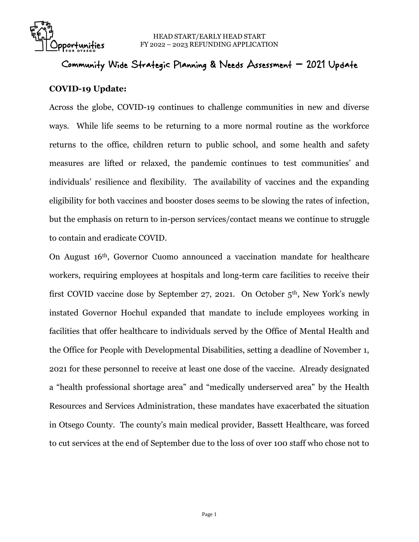

## Community Wide Strategic Planning & Needs Assessment **–** 2021 Update

## **COVID-19 Update:**

Across the globe, COVID-19 continues to challenge communities in new and diverse ways. While life seems to be returning to a more normal routine as the workforce returns to the office, children return to public school, and some health and safety measures are lifted or relaxed, the pandemic continues to test communities' and individuals' resilience and flexibility. The availability of vaccines and the expanding eligibility for both vaccines and booster doses seems to be slowing the rates of infection, but the emphasis on return to in-person services/contact means we continue to struggle to contain and eradicate COVID.

On August 16th, Governor Cuomo announced a vaccination mandate for healthcare workers, requiring employees at hospitals and long-term care facilities to receive their first COVID vaccine dose by September 27, 2021. On October 5th, New York's newly instated Governor Hochul expanded that mandate to include employees working in facilities that offer healthcare to individuals served by the Office of Mental Health and the Office for People with Developmental Disabilities, setting a deadline of November 1, 2021 for these personnel to receive at least one dose of the vaccine. Already designated a "health professional shortage area" and "medically underserved area" by the Health Resources and Services Administration, these mandates have exacerbated the situation in Otsego County. The county's main medical provider, Bassett Healthcare, was forced to cut services at the end of September due to the loss of over 100 staff who chose not to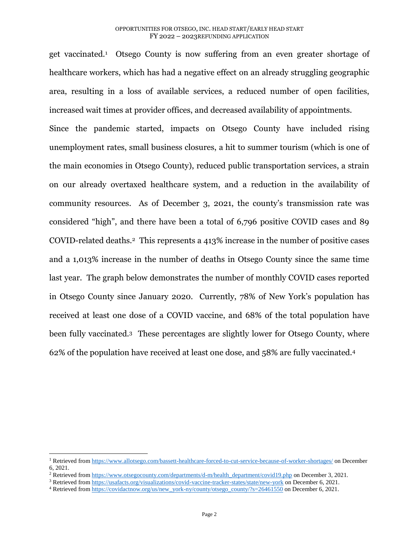get vaccinated.<sup>1</sup> Otsego County is now suffering from an even greater shortage of healthcare workers, which has had a negative effect on an already struggling geographic area, resulting in a loss of available services, a reduced number of open facilities, increased wait times at provider offices, and decreased availability of appointments. Since the pandemic started, impacts on Otsego County have included rising unemployment rates, small business closures, a hit to summer tourism (which is one of the main economies in Otsego County), reduced public transportation services, a strain on our already overtaxed healthcare system, and a reduction in the availability of community resources. As of December 3, 2021, the county's transmission rate was considered "high", and there have been a total of 6,796 positive COVID cases and 89 COVID-related deaths.2 This represents a 413% increase in the number of positive cases and a 1,013% increase in the number of deaths in Otsego County since the same time last year. The graph below demonstrates the number of monthly COVID cases reported in Otsego County since January 2020. Currently, 78% of New York's population has received at least one dose of a COVID vaccine, and 68% of the total population have been fully vaccinated.3 These percentages are slightly lower for Otsego County, where 62% of the population have received at least one dose, and 58% are fully vaccinated.<sup>4</sup>

l

<sup>1</sup> Retrieved fro[m https://www.allotsego.com/bassett-healthcare-forced-to-cut-service-because-of-worker-shortages/](https://www.allotsego.com/bassett-healthcare-forced-to-cut-service-because-of-worker-shortages/) on December 6, 2021.

<sup>&</sup>lt;sup>2</sup> Retrieved fro[m https://www.otsegocounty.com/departments/d-m/health\\_department/covid19.php](https://www.otsegocounty.com/departments/d-m/health_department/covid19.php%20on%20December%203) on December 3, 2021.

<sup>&</sup>lt;sup>3</sup> Retrieved fro[m https://usafacts.org/visualizations/covid-vaccine-tracker-states/state/new-york](https://usafacts.org/visualizations/covid-vaccine-tracker-states/state/new-york%20on%20December%206) on December 6, 2021.

<sup>4</sup> Retrieved fro[m https://covidactnow.org/us/new\\_york-ny/county/otsego\\_county/?s=26461550](https://covidactnow.org/us/new_york-ny/county/otsego_county/?s=26461550) on December 6, 2021.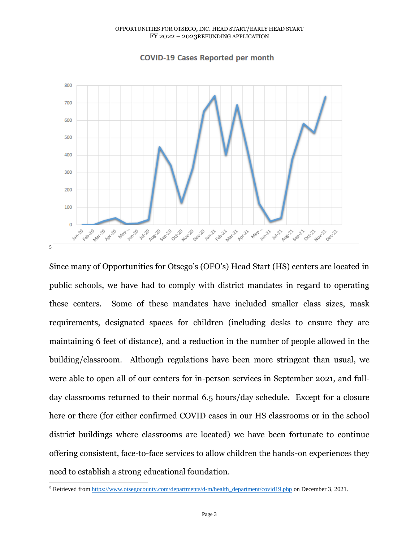

## **COVID-19 Cases Reported per month**

Since many of Opportunities for Otsego's (OFO's) Head Start (HS) centers are located in public schools, we have had to comply with district mandates in regard to operating these centers. Some of these mandates have included smaller class sizes, mask requirements, designated spaces for children (including desks to ensure they are maintaining 6 feet of distance), and a reduction in the number of people allowed in the building/classroom. Although regulations have been more stringent than usual, we were able to open all of our centers for in-person services in September 2021, and fullday classrooms returned to their normal 6.5 hours/day schedule. Except for a closure here or there (for either confirmed COVID cases in our HS classrooms or in the school district buildings where classrooms are located) we have been fortunate to continue offering consistent, face-to-face services to allow children the hands-on experiences they need to establish a strong educational foundation.

 $\overline{a}$ <sup>5</sup> Retrieved fro[m https://www.otsegocounty.com/departments/d-m/health\\_department/covid19.php](https://www.otsegocounty.com/departments/d-m/health_department/covid19.php%20on%20December%203) on December 3, 2021.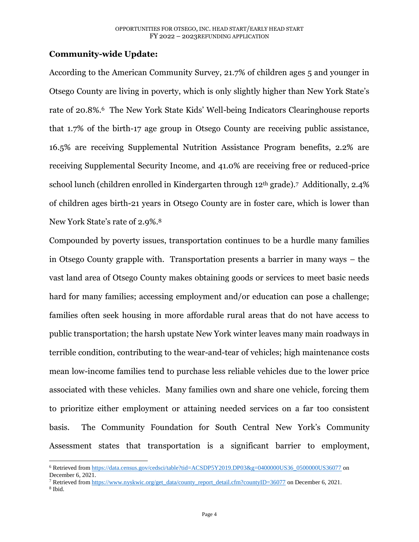## **Community-wide Update:**

According to the American Community Survey, 21.7% of children ages 5 and younger in Otsego County are living in poverty, which is only slightly higher than New York State's rate of 20.8%.<sup>6</sup> The New York State Kids' Well-being Indicators Clearinghouse reports that 1.7% of the birth-17 age group in Otsego County are receiving public assistance, 16.5% are receiving Supplemental Nutrition Assistance Program benefits, 2.2% are receiving Supplemental Security Income, and 41.0% are receiving free or reduced-price school lunch (children enrolled in Kindergarten through 12th grade).7 Additionally, 2.4% of children ages birth-21 years in Otsego County are in foster care, which is lower than New York State's rate of 2.9%.<sup>8</sup>

Compounded by poverty issues, transportation continues to be a hurdle many families in Otsego County grapple with. Transportation presents a barrier in many ways – the vast land area of Otsego County makes obtaining goods or services to meet basic needs hard for many families; accessing employment and/or education can pose a challenge; families often seek housing in more affordable rural areas that do not have access to public transportation; the harsh upstate New York winter leaves many main roadways in terrible condition, contributing to the wear-and-tear of vehicles; high maintenance costs mean low-income families tend to purchase less reliable vehicles due to the lower price associated with these vehicles. Many families own and share one vehicle, forcing them to prioritize either employment or attaining needed services on a far too consistent basis. The Community Foundation for South Central New York's Community Assessment states that transportation is a significant barrier to employment,

<sup>7</sup> Retrieved fro[m https://www.nyskwic.org/get\\_data/county\\_report\\_detail.cfm?countyID=36077](https://www.nyskwic.org/get_data/county_report_detail.cfm?countyID=36077) on December 6, 2021.

l

<sup>6</sup> Retrieved fro[m https://data.census.gov/cedsci/table?tid=ACSDP5Y2019.DP03&g=0400000US36\\_0500000US36077](https://data.census.gov/cedsci/table?tid=ACSDP5Y2019.DP03&g=0400000US36_0500000US36077) on December 6, 2021.

<sup>8</sup> Ibid.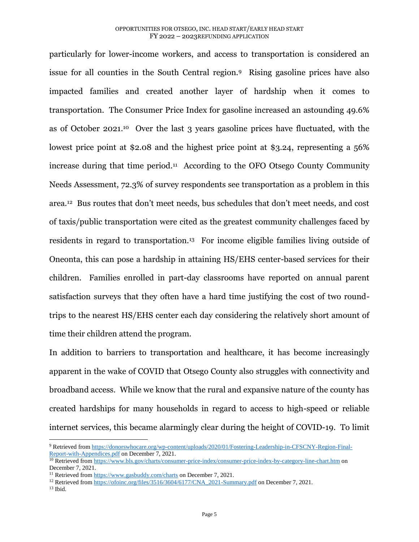particularly for lower-income workers, and access to transportation is considered an issue for all counties in the South Central region.9 Rising gasoline prices have also impacted families and created another layer of hardship when it comes to transportation. The Consumer Price Index for gasoline increased an astounding 49.6% as of October 2021.10 Over the last 3 years gasoline prices have fluctuated, with the lowest price point at \$2.08 and the highest price point at \$3.24, representing a 56% increase during that time period. 11 According to the OFO Otsego County Community Needs Assessment, 72.3% of survey respondents see transportation as a problem in this area.<sup>12</sup> Bus routes that don't meet needs, bus schedules that don't meet needs, and cost of taxis/public transportation were cited as the greatest community challenges faced by residents in regard to transportation.<sup>13</sup> For income eligible families living outside of Oneonta, this can pose a hardship in attaining HS/EHS center-based services for their children. Families enrolled in part-day classrooms have reported on annual parent satisfaction surveys that they often have a hard time justifying the cost of two roundtrips to the nearest HS/EHS center each day considering the relatively short amount of time their children attend the program.

In addition to barriers to transportation and healthcare, it has become increasingly apparent in the wake of COVID that Otsego County also struggles with connectivity and broadband access. While we know that the rural and expansive nature of the county has created hardships for many households in regard to access to high-speed or reliable internet services, this became alarmingly clear during the height of COVID-19. To limit

l

<sup>9</sup> Retrieved fro[m https://donorswhocare.org/wp-content/uploads/2020/01/Fostering-Leadership-in-CFSCNY-Region-Final-](https://donorswhocare.org/wp-content/uploads/2020/01/Fostering-Leadership-in-CFSCNY-Region-Final-Report-with-Appendices.pdf)[Report-with-Appendices.pdf](https://donorswhocare.org/wp-content/uploads/2020/01/Fostering-Leadership-in-CFSCNY-Region-Final-Report-with-Appendices.pdf) on December 7, 2021.

<sup>&</sup>lt;sup>10</sup> Retrieved fro[m https://www.bls.gov/charts/consumer-price-index/consumer-price-index-by-category-line-chart.htm](https://www.bls.gov/charts/consumer-price-index/consumer-price-index-by-category-line-chart.htm%20on%20December%207) on [December 7,](https://www.bls.gov/charts/consumer-price-index/consumer-price-index-by-category-line-chart.htm%20on%20December%207) 2021.

<sup>&</sup>lt;sup>11</sup> Retrieved fro[m https://www.gasbuddy.com/charts](https://www.gasbuddy.com/charts%20on%20December%207) on December 7, 2021.

<sup>&</sup>lt;sup>12</sup> Retrieved fro[m https://ofoinc.org/files/3516/3604/6177/CNA\\_2021-Summary.pdf](https://ofoinc.org/files/3516/3604/6177/CNA_2021-Summary.pdf%20on%20December%207) on December 7, 2021.

<sup>13</sup> Ibid.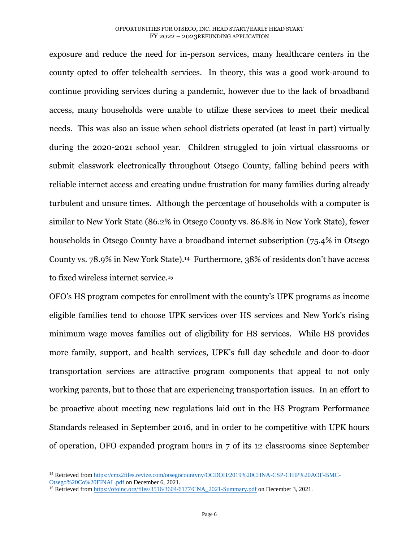exposure and reduce the need for in-person services, many healthcare centers in the county opted to offer telehealth services. In theory, this was a good work-around to continue providing services during a pandemic, however due to the lack of broadband access, many households were unable to utilize these services to meet their medical needs. This was also an issue when school districts operated (at least in part) virtually during the 2020-2021 school year. Children struggled to join virtual classrooms or submit classwork electronically throughout Otsego County, falling behind peers with reliable internet access and creating undue frustration for many families during already turbulent and unsure times. Although the percentage of households with a computer is similar to New York State (86.2% in Otsego County vs. 86.8% in New York State), fewer households in Otsego County have a broadband internet subscription (75.4% in Otsego County vs. 78.9% in New York State).<sup>14</sup> Furthermore, 38% of residents don't have access to fixed wireless internet service.<sup>15</sup>

OFO's HS program competes for enrollment with the county's UPK programs as income eligible families tend to choose UPK services over HS services and New York's rising minimum wage moves families out of eligibility for HS services. While HS provides more family, support, and health services, UPK's full day schedule and door-to-door transportation services are attractive program components that appeal to not only working parents, but to those that are experiencing transportation issues. In an effort to be proactive about meeting new regulations laid out in the HS Program Performance Standards released in September 2016, and in order to be competitive with UPK hours of operation, OFO expanded program hours in 7 of its 12 classrooms since September

 $\overline{a}$ 

<sup>&</sup>lt;sup>14</sup> Retrieved fro[m https://cms2files.revize.com/otsegocountyny/OCDOH/2019%20CHNA-CSP-CHIP%20AOF-BMC-](https://cms2files.revize.com/otsegocountyny/OCDOH/2019%20CHNA-CSP-CHIP%20AOF-BMC-Otsego%20Co%20FINAL.pdf)[Otsego%20Co%20FINAL.pdf](https://cms2files.revize.com/otsegocountyny/OCDOH/2019%20CHNA-CSP-CHIP%20AOF-BMC-Otsego%20Co%20FINAL.pdf) on December 6, 2021.

<sup>&</sup>lt;sup>15</sup> Retrieved fro[m https://ofoinc.org/files/3516/3604/6177/CNA\\_2021-Summary.pdf](https://ofoinc.org/files/3516/3604/6177/CNA_2021-Summary.pdf%20on%20December%203) on December 3, 2021.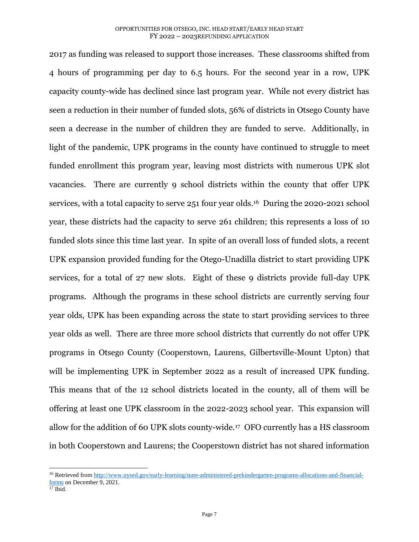2017 as funding was released to support those increases. These classrooms shifted from 4 hours of programming per day to 6.5 hours. For the second year in a row, UPK capacity county-wide has declined since last program year. While not every district has seen a reduction in their number of funded slots, 56% of districts in Otsego County have seen a decrease in the number of children they are funded to serve. Additionally, in light of the pandemic, UPK programs in the county have continued to struggle to meet funded enrollment this program year, leaving most districts with numerous UPK slot vacancies. There are currently 9 school districts within the county that offer UPK services, with a total capacity to serve 251 four year olds.16 During the 2020-2021 school year, these districts had the capacity to serve 261 children; this represents a loss of 10 funded slots since this time last year. In spite of an overall loss of funded slots, a recent UPK expansion provided funding for the Otego-Unadilla district to start providing UPK services, for a total of 27 new slots. Eight of these 9 districts provide full-day UPK programs. Although the programs in these school districts are currently serving four year olds, UPK has been expanding across the state to start providing services to three year olds as well. There are three more school districts that currently do not offer UPK programs in Otsego County (Cooperstown, Laurens, Gilbertsville-Mount Upton) that will be implementing UPK in September 2022 as a result of increased UPK funding. This means that of the 12 school districts located in the county, all of them will be offering at least one UPK classroom in the 2022-2023 school year. This expansion will allow for the addition of 60 UPK slots county-wide.17 OFO currently has a HS classroom in both Cooperstown and Laurens; the Cooperstown district has not shared information

 $\overline{a}$ 

<sup>16</sup> Retrieved fro[m http://www.nysed.gov/early-learning/state-administered-prekindergarten-programs-allocations-and-financial](http://www.nysed.gov/early-learning/state-administered-prekindergarten-programs-allocations-and-financial-forms%20on%20December%209)forms [on December 9,](http://www.nysed.gov/early-learning/state-administered-prekindergarten-programs-allocations-and-financial-forms%20on%20December%209) 2021.

 $17$  Ibid.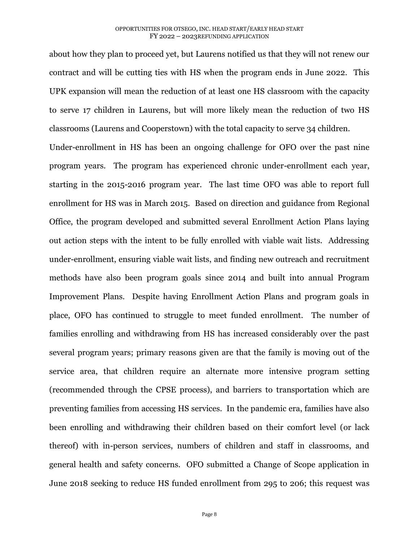about how they plan to proceed yet, but Laurens notified us that they will not renew our contract and will be cutting ties with HS when the program ends in June 2022. This UPK expansion will mean the reduction of at least one HS classroom with the capacity to serve 17 children in Laurens, but will more likely mean the reduction of two HS classrooms (Laurens and Cooperstown) with the total capacity to serve 34 children.

Under-enrollment in HS has been an ongoing challenge for OFO over the past nine program years. The program has experienced chronic under-enrollment each year, starting in the 2015-2016 program year. The last time OFO was able to report full enrollment for HS was in March 2015. Based on direction and guidance from Regional Office, the program developed and submitted several Enrollment Action Plans laying out action steps with the intent to be fully enrolled with viable wait lists. Addressing under-enrollment, ensuring viable wait lists, and finding new outreach and recruitment methods have also been program goals since 2014 and built into annual Program Improvement Plans. Despite having Enrollment Action Plans and program goals in place, OFO has continued to struggle to meet funded enrollment. The number of families enrolling and withdrawing from HS has increased considerably over the past several program years; primary reasons given are that the family is moving out of the service area, that children require an alternate more intensive program setting (recommended through the CPSE process), and barriers to transportation which are preventing families from accessing HS services. In the pandemic era, families have also been enrolling and withdrawing their children based on their comfort level (or lack thereof) with in-person services, numbers of children and staff in classrooms, and general health and safety concerns. OFO submitted a Change of Scope application in June 2018 seeking to reduce HS funded enrollment from 295 to 206; this request was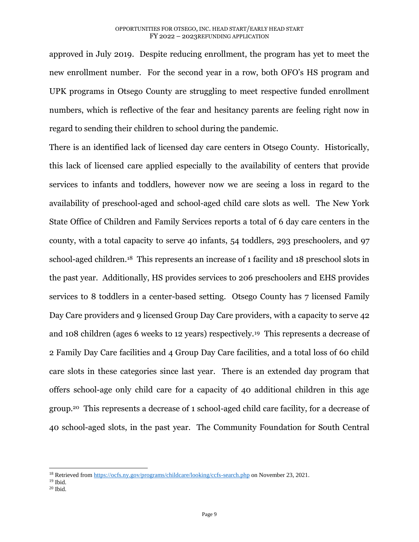approved in July 2019. Despite reducing enrollment, the program has yet to meet the new enrollment number. For the second year in a row, both OFO's HS program and UPK programs in Otsego County are struggling to meet respective funded enrollment numbers, which is reflective of the fear and hesitancy parents are feeling right now in regard to sending their children to school during the pandemic.

There is an identified lack of licensed day care centers in Otsego County. Historically, this lack of licensed care applied especially to the availability of centers that provide services to infants and toddlers, however now we are seeing a loss in regard to the availability of preschool-aged and school-aged child care slots as well. The New York State Office of Children and Family Services reports a total of 6 day care centers in the county, with a total capacity to serve 40 infants, 54 toddlers, 293 preschoolers, and 97 school-aged children.18 This represents an increase of 1 facility and 18 preschool slots in the past year. Additionally, HS provides services to 206 preschoolers and EHS provides services to 8 toddlers in a center-based setting. Otsego County has 7 licensed Family Day Care providers and 9 licensed Group Day Care providers, with a capacity to serve 42 and 108 children (ages 6 weeks to 12 years) respectively.19 This represents a decrease of 2 Family Day Care facilities and 4 Group Day Care facilities, and a total loss of 60 child care slots in these categories since last year. There is an extended day program that offers school-age only child care for a capacity of 40 additional children in this age group.20 This represents a decrease of 1 school-aged child care facility, for a decrease of 40 school-aged slots, in the past year. The Community Foundation for South Central

 $\overline{a}$ 

<sup>&</sup>lt;sup>18</sup> Retrieved fro[m https://ocfs.ny.gov/programs/childcare/looking/ccfs-search.php](https://ocfs.ny.gov/programs/childcare/looking/ccfs-search.php%20on%20November%2023) on November 23, 2021.

<sup>19</sup> Ibid.

 $20$  Ibid.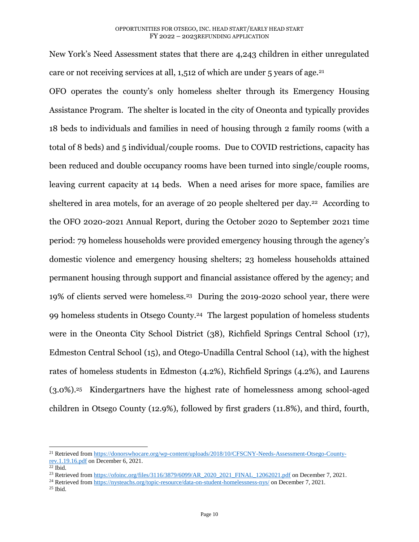New York's Need Assessment states that there are 4,243 children in either unregulated care or not receiving services at all, 1,512 of which are under 5 years of age.<sup>21</sup>

OFO operates the county's only homeless shelter through its Emergency Housing Assistance Program. The shelter is located in the city of Oneonta and typically provides 18 beds to individuals and families in need of housing through 2 family rooms (with a total of 8 beds) and 5 individual/couple rooms. Due to COVID restrictions, capacity has been reduced and double occupancy rooms have been turned into single/couple rooms, leaving current capacity at 14 beds. When a need arises for more space, families are sheltered in area motels, for an average of 20 people sheltered per day.<sup>22</sup> According to the OFO 2020-2021 Annual Report, during the October 2020 to September 2021 time period: 79 homeless households were provided emergency housing through the agency's domestic violence and emergency housing shelters; 23 homeless households attained permanent housing through support and financial assistance offered by the agency; and 19% of clients served were homeless.23 During the 2019-2020 school year, there were 99 homeless students in Otsego County.24 The largest population of homeless students were in the Oneonta City School District (38), Richfield Springs Central School (17), Edmeston Central School (15), and Otego-Unadilla Central School (14), with the highest rates of homeless students in Edmeston (4.2%), Richfield Springs (4.2%), and Laurens (3.0%). <sup>25</sup> Kindergartners have the highest rate of homelessness among school-aged children in Otsego County (12.9%), followed by first graders (11.8%), and third, fourth,

 $\overline{\phantom{a}}$ 

<sup>21</sup> Retrieved fro[m https://donorswhocare.org/wp-content/uploads/2018/10/CFSCNY-Needs-Assessment-Otsego-County](https://donorswhocare.org/wp-content/uploads/2018/10/CFSCNY-Needs-Assessment-Otsego-County-rev.1.19.16.pdf%20on%20December%206)rev.1.19.16.pdf [on December 6,](https://donorswhocare.org/wp-content/uploads/2018/10/CFSCNY-Needs-Assessment-Otsego-County-rev.1.19.16.pdf%20on%20December%206) 2021.

<sup>22</sup> Ibid.

<sup>&</sup>lt;sup>23</sup> Retrieved fro[m https://ofoinc.org/files/3116/3879/6099/AR\\_2020\\_2021\\_FINAL\\_12062021.pdf](https://ofoinc.org/files/3116/3879/6099/AR_2020_2021_FINAL_12062021.pdf%20on%20December%207) on December 7, 2021.

<sup>&</sup>lt;sup>24</sup> Retrieved fro[m https://nysteachs.org/topic-resource/data-on-student-homelessness-nys/](https://nysteachs.org/topic-resource/data-on-student-homelessness-nys/) on December 7, 2021.

<sup>25</sup> Ibid.